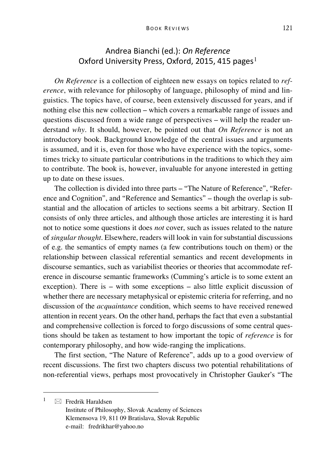## Andrea Bianchi (ed.): *On Reference* Oxford University Press, Oxford, 20[1](#page-0-0)5, 415 pages<sup>1</sup>

*On Reference* is a collection of eighteen new essays on topics related to *reference*, with relevance for philosophy of language, philosophy of mind and linguistics. The topics have, of course, been extensively discussed for years, and if nothing else this new collection – which covers a remarkable range of issues and questions discussed from a wide range of perspectives – will help the reader understand *why*. It should, however, be pointed out that *On Reference* is not an introductory book. Background knowledge of the central issues and arguments is assumed, and it is, even for those who have experience with the topics, sometimes tricky to situate particular contributions in the traditions to which they aim to contribute. The book is, however, invaluable for anyone interested in getting up to date on these issues.

The collection is divided into three parts – "The Nature of Reference", "Reference and Cognition", and "Reference and Semantics" – though the overlap is substantial and the allocation of articles to sections seems a bit arbitrary. Section II consists of only three articles, and although those articles are interesting it is hard not to notice some questions it does *not* cover, such as issues related to the nature of *singular thought*. Elsewhere, readers will look in vain for substantial discussions of e.g. the semantics of empty names (a few contributions touch on them) or the relationship between classical referential semantics and recent developments in discourse semantics, such as variabilist theories or theories that accommodate reference in discourse semantic frameworks (Cumming's article is to some extent an exception). There is – with some exceptions – also little explicit discussion of whether there are necessary metaphysical or epistemic criteria for referring, and no discussion of the *acquaintance* condition, which seems to have received renewed attention in recent years. On the other hand, perhaps the fact that even a substantial and comprehensive collection is forced to forgo discussions of some central questions should be taken as testament to how important the topic of *reference* is for contemporary philosophy, and how wide-ranging the implications.

The first section, "The Nature of Reference", adds up to a good overview of recent discussions. The first two chapters discuss two potential rehabilitations of non-referential views, perhaps most provocatively in Christopher Gauker's "The

<span id="page-0-0"></span> $\mathbf{1}$  $\boxtimes$  Fredrik Haraldsen

Institute of Philosophy, Slovak Academy of Sciences Klemensova 19, 811 09 Bratislava, Slovak Republic e-mail: fredrikhar@yahoo.no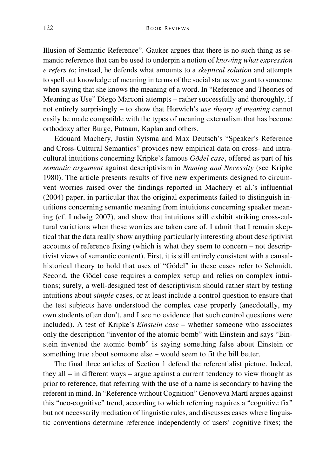Illusion of Semantic Reference". Gauker argues that there is no such thing as semantic reference that can be used to underpin a notion of *knowing what expression e refers to*; instead, he defends what amounts to a *skeptical solution* and attempts to spell out knowledge of meaning in terms of the social status we grant to someone when saying that she knows the meaning of a word. In "Reference and Theories of Meaning as Use" Diego Marconi attempts – rather successfully and thoroughly, if not entirely surprisingly – to show that Horwich's *use theory of meaning* cannot easily be made compatible with the types of meaning externalism that has become orthodoxy after Burge, Putnam, Kaplan and others.

Edouard Machery, Justin Sytsma and Max Deutsch's "Speaker's Reference and Cross-Cultural Semantics" provides new empirical data on cross- and intracultural intuitions concerning Kripke's famous *Gödel case*, offered as part of his *semantic argument* against descriptivism in *Naming and Necessity* (see Kripke 1980). The article presents results of five new experiments designed to circumvent worries raised over the findings reported in Machery et al.'s influential (2004) paper, in particular that the original experiments failed to distinguish intuitions concerning semantic meaning from intuitions concerning speaker meaning (cf. Ludwig 2007), and show that intuitions still exhibit striking cross-cultural variations when these worries are taken care of. I admit that I remain skeptical that the data really show anything particularly interesting about descriptivist accounts of reference fixing (which is what they seem to concern – not descriptivist views of semantic content). First, it is still entirely consistent with a causalhistorical theory to hold that uses of "Gödel" in these cases refer to Schmidt. Second, the Gödel case requires a complex setup and relies on complex intuitions; surely, a well-designed test of descriptivism should rather start by testing intuitions about *simple* cases, or at least include a control question to ensure that the test subjects have understood the complex case properly (anecdotally, my own students often don't, and I see no evidence that such control questions were included). A test of Kripke's *Einstein case* – whether someone who associates only the description "inventor of the atomic bomb" with Einstein and says "Einstein invented the atomic bomb" is saying something false about Einstein or something true about someone else – would seem to fit the bill better.

The final three articles of Section 1 defend the referentialist picture. Indeed, they all – in different ways – argue against a current tendency to view thought as prior to reference, that referring with the use of a name is secondary to having the referent in mind. In "Reference without Cognition" Genoveva Martí argues against this "neo-cognitive" trend, according to which referring requires a "cognitive fix" but not necessarily mediation of linguistic rules, and discusses cases where linguistic conventions determine reference independently of users' cognitive fixes; the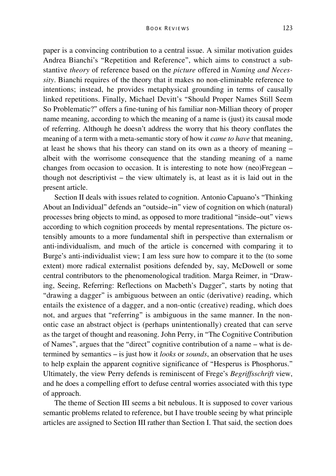paper is a convincing contribution to a central issue. A similar motivation guides Andrea Bianchi's "Repetition and Reference", which aims to construct a substantive *theory* of reference based on the *picture* offered in *Naming and Necessity*. Bianchi requires of the theory that it makes no non-eliminable reference to intentions; instead, he provides metaphysical grounding in terms of causally linked repetitions. Finally, Michael Devitt's "Should Proper Names Still Seem So Problematic?" offers a fine-tuning of his familiar non-Millian theory of proper name meaning, according to which the meaning of a name is (just) its causal mode of referring. Although he doesn't address the worry that his theory conflates the meaning of a term with a meta-semantic story of how it *came to have* that meaning, at least he shows that his theory can stand on its own as a theory of meaning – albeit with the worrisome consequence that the standing meaning of a name changes from occasion to occasion. It is interesting to note how (neo)Fregean – though not descriptivist – the view ultimately is, at least as it is laid out in the present article.

Section II deals with issues related to cognition. Antonio Capuano's "Thinking About an Individual" defends an "outside–in" view of cognition on which (natural) processes bring objects to mind, as opposed to more traditional "inside–out" views according to which cognition proceeds by mental representations. The picture ostensibly amounts to a more fundamental shift in perspective than externalism or anti-individualism, and much of the article is concerned with comparing it to Burge's anti-individualist view; I am less sure how to compare it to the (to some extent) more radical externalist positions defended by, say, McDowell or some central contributors to the phenomenological tradition. Marga Reimer, in "Drawing, Seeing, Referring: Reflections on Macbeth's Dagger", starts by noting that "drawing a dagger" is ambiguous between an ontic (derivative) reading, which entails the existence of a dagger, and a non-ontic (creative) reading, which does not, and argues that "referring" is ambiguous in the same manner. In the nonontic case an abstract object is (perhaps unintentionally) created that can serve as the target of thought and reasoning. John Perry, in "The Cognitive Contribution of Names", argues that the "direct" cognitive contribution of a name – what is determined by semantics – is just how it *looks* or *sounds*, an observation that he uses to help explain the apparent cognitive significance of "Hesperus is Phosphorus." Ultimately, the view Perry defends is reminiscent of Frege's *Begriffsschrift* view, and he does a compelling effort to defuse central worries associated with this type of approach.

The theme of Section III seems a bit nebulous. It is supposed to cover various semantic problems related to reference, but I have trouble seeing by what principle articles are assigned to Section III rather than Section I. That said, the section does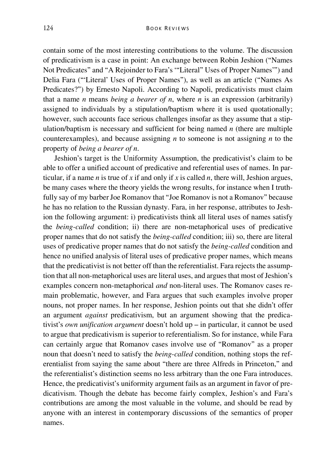contain some of the most interesting contributions to the volume. The discussion of predicativism is a case in point: An exchange between Robin Jeshion ("Names Not Predicates" and "A Rejoinder to Fara's '"Literal" Uses of Proper Names'") and Delia Fara ("'Literal' Uses of Proper Names"), as well as an article ("Names As Predicates?") by Ernesto Napoli. According to Napoli, predicativists must claim that a name *n* means *being a bearer of n*, where *n* is an expression (arbitrarily) assigned to individuals by a stipulation/baptism where it is used quotationally; however, such accounts face serious challenges insofar as they assume that a stipulation/baptism is necessary and sufficient for being named *n* (there are multiple counterexamples), and because assigning *n* to someone is not assigning *n* to the property of *being a bearer of n*.

Jeshion's target is the Uniformity Assumption, the predicativist's claim to be able to offer a unified account of predicative and referential uses of names. In particular, if a name *n* is true of *x* if and only if *x* is called *n*, there will, Jeshion argues, be many cases where the theory yields the wrong results, for instance when I truthfully say of my barber Joe Romanov that "Joe Romanov is not a Romanov" because he has no relation to the Russian dynasty. Fara, in her response, attributes to Jeshion the following argument: i) predicativists think all literal uses of names satisfy the *being-called* condition; ii) there are non-metaphorical uses of predicative proper names that do not satisfy the *being-called* condition; iii) so, there are literal uses of predicative proper names that do not satisfy the *being-called* condition and hence no unified analysis of literal uses of predicative proper names, which means that the predicativist is not better off than the referentialist. Fara rejects the assumption that all non-metaphorical uses are literal uses, and argues that most of Jeshion's examples concern non-metaphorical *and* non-literal uses. The Romanov cases remain problematic, however, and Fara argues that such examples involve proper nouns, not proper names. In her response, Jeshion points out that she didn't offer an argument *against* predicativism, but an argument showing that the predicativist's *own unification argument* doesn't hold up – in particular, it cannot be used to argue that predicativism is superior to referentialism. So for instance, while Fara can certainly argue that Romanov cases involve use of "Romanov" as a proper noun that doesn't need to satisfy the *being-called* condition, nothing stops the referentialist from saying the same about "there are three Alfreds in Princeton," and the referentialist's distinction seems no less arbitrary than the one Fara introduces. Hence, the predicativist's uniformity argument fails as an argument in favor of predicativism. Though the debate has become fairly complex, Jeshion's and Fara's contributions are among the most valuable in the volume, and should be read by anyone with an interest in contemporary discussions of the semantics of proper names.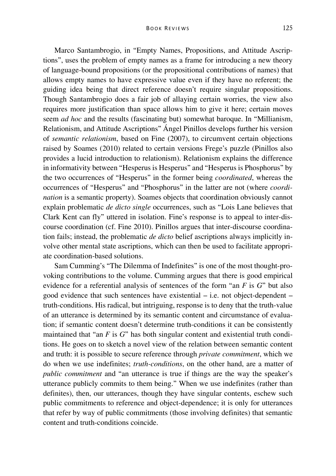Marco Santambrogio, in "Empty Names, Propositions, and Attitude Ascriptions", uses the problem of empty names as a frame for introducing a new theory of language-bound propositions (or the propositional contributions of names) that allows empty names to have expressive value even if they have no referent; the guiding idea being that direct reference doesn't require singular propositions. Though Santambrogio does a fair job of allaying certain worries, the view also requires more justification than space allows him to give it here; certain moves seem *ad hoc* and the results (fascinating but) somewhat baroque. In "Millianism, Relationism, and Attitude Ascriptions" Ángel Pinillos develops further his version of *semantic relationism*, based on Fine (2007), to circumvent certain objections raised by Soames (2010) related to certain versions Frege's puzzle (Pinillos also provides a lucid introduction to relationism). Relationism explains the difference in informativity between "Hesperus is Hesperus" and "Hesperus is Phosphorus" by the two occurrences of "Hesperus" in the former being *coordinated*, whereas the occurrences of "Hesperus" and "Phosphorus" in the latter are not (where *coordination* is a semantic property). Soames objects that coordination obviously cannot explain problematic *de dicto single* occurrences, such as "Lois Lane believes that Clark Kent can fly" uttered in isolation. Fine's response is to appeal to inter-discourse coordination (cf. Fine 2010). Pinillos argues that inter-discourse coordination fails; instead, the problematic *de dicto* belief ascriptions always implicitly involve other mental state ascriptions, which can then be used to facilitate appropriate coordination-based solutions.

Sam Cumming's "The Dilemma of Indefinites" is one of the most thought-provoking contributions to the volume. Cumming argues that there is good empirical evidence for a referential analysis of sentences of the form "an *F* is *G*" but also good evidence that such sentences have existential – i.e. not object-dependent – truth-conditions. His radical, but intriguing, response is to deny that the truth-value of an utterance is determined by its semantic content and circumstance of evaluation; if semantic content doesn't determine truth-conditions it can be consistently maintained that "an *F* is *G*" has both singular content and existential truth conditions. He goes on to sketch a novel view of the relation between semantic content and truth: it is possible to secure reference through *private commitment*, which we do when we use indefinites; *truth-conditions*, on the other hand, are a matter of *public commitment* and "an utterance is true if things are the way the speaker's utterance publicly commits to them being." When we use indefinites (rather than definites), then, our utterances, though they have singular contents, eschew such public commitments to reference and object-dependence; it is only for utterances that refer by way of public commitments (those involving definites) that semantic content and truth-conditions coincide.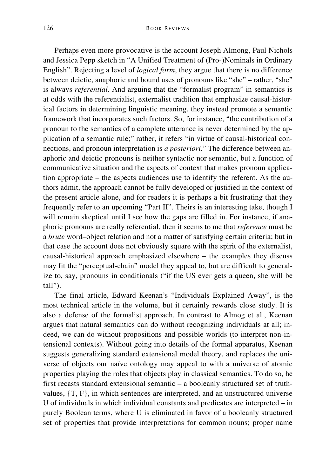Perhaps even more provocative is the account Joseph Almong, Paul Nichols and Jessica Pepp sketch in "A Unified Treatment of (Pro-)Nominals in Ordinary English". Rejecting a level of *logical form*, they argue that there is no difference between deictic, anaphoric and bound uses of pronouns like "she" – rather, "she" is always *referential*. And arguing that the "formalist program" in semantics is at odds with the referentialist, externalist tradition that emphasize causal-historical factors in determining linguistic meaning, they instead promote a semantic framework that incorporates such factors. So, for instance, "the contribution of a pronoun to the semantics of a complete utterance is never determined by the application of a semantic rule;" rather, it refers "in virtue of causal-historical connections, and pronoun interpretation is *a posteriori*." The difference between anaphoric and deictic pronouns is neither syntactic nor semantic, but a function of communicative situation and the aspects of context that makes pronoun application appropriate – the aspects audiences use to identify the referent. As the authors admit, the approach cannot be fully developed or justified in the context of the present article alone, and for readers it is perhaps a bit frustrating that they frequently refer to an upcoming "Part II". Theirs is an interesting take, though I will remain skeptical until I see how the gaps are filled in. For instance, if anaphoric pronouns are really referential, then it seems to me that *reference* must be a *brute* word–object relation and not a matter of satisfying certain criteria; but in that case the account does not obviously square with the spirit of the externalist, causal-historical approach emphasized elsewhere – the examples they discuss may fit the "perceptual-chain" model they appeal to, but are difficult to generalize to, say, pronouns in conditionals ("if the US ever gets a queen, she will be tall").

The final article, Edward Keenan's "Individuals Explained Away", is the most technical article in the volume, but it certainly rewards close study. It is also a defense of the formalist approach. In contrast to Almog et al., Keenan argues that natural semantics can do without recognizing individuals at all; indeed, we can do without propositions and possible worlds (to interpret non-intensional contexts). Without going into details of the formal apparatus, Keenan suggests generalizing standard extensional model theory, and replaces the universe of objects our naïve ontology may appeal to with a universe of atomic properties playing the roles that objects play in classical semantics. To do so, he first recasts standard extensional semantic – a booleanly structured set of truthvalues, {T, F}, in which sentences are interpreted, and an unstructured universe U of individuals in which individual constants and predicates are interpreted – in purely Boolean terms, where U is eliminated in favor of a booleanly structured set of properties that provide interpretations for common nouns; proper name